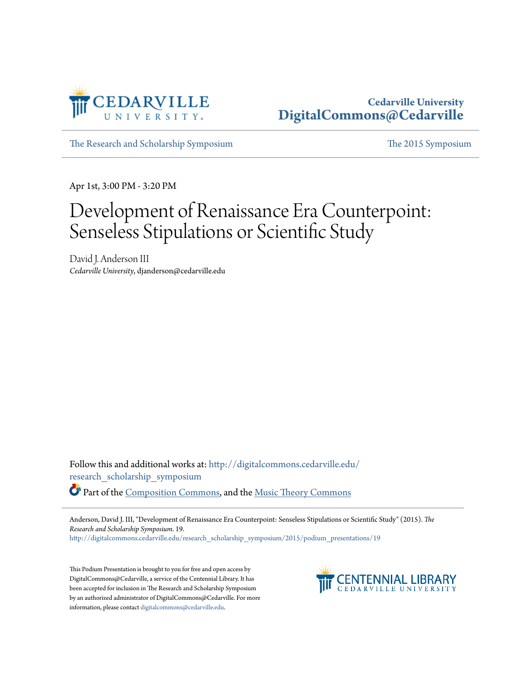

## **Cedarville University [DigitalCommons@Cedarville](http://digitalcommons.cedarville.edu?utm_source=digitalcommons.cedarville.edu%2Fresearch_scholarship_symposium%2F2015%2Fpodium_presentations%2F19&utm_medium=PDF&utm_campaign=PDFCoverPages)**

[The Research and Scholarship Symposium](http://digitalcommons.cedarville.edu/research_scholarship_symposium?utm_source=digitalcommons.cedarville.edu%2Fresearch_scholarship_symposium%2F2015%2Fpodium_presentations%2F19&utm_medium=PDF&utm_campaign=PDFCoverPages) [The 2015 Symposium](http://digitalcommons.cedarville.edu/research_scholarship_symposium/2015?utm_source=digitalcommons.cedarville.edu%2Fresearch_scholarship_symposium%2F2015%2Fpodium_presentations%2F19&utm_medium=PDF&utm_campaign=PDFCoverPages)

Apr 1st, 3:00 PM - 3:20 PM

## Development of Renaissance Era Counterpoint: Senseless Stipulations or Scientific Study

David J. Anderson III *Cedarville University*, djanderson@cedarville.edu

Follow this and additional works at: [http://digitalcommons.cedarville.edu/](http://digitalcommons.cedarville.edu/research_scholarship_symposium?utm_source=digitalcommons.cedarville.edu%2Fresearch_scholarship_symposium%2F2015%2Fpodium_presentations%2F19&utm_medium=PDF&utm_campaign=PDFCoverPages) [research\\_scholarship\\_symposium](http://digitalcommons.cedarville.edu/research_scholarship_symposium?utm_source=digitalcommons.cedarville.edu%2Fresearch_scholarship_symposium%2F2015%2Fpodium_presentations%2F19&utm_medium=PDF&utm_campaign=PDFCoverPages)

Part of the [Composition Commons,](http://network.bepress.com/hgg/discipline/519?utm_source=digitalcommons.cedarville.edu%2Fresearch_scholarship_symposium%2F2015%2Fpodium_presentations%2F19&utm_medium=PDF&utm_campaign=PDFCoverPages) and the [Music Theory Commons](http://network.bepress.com/hgg/discipline/522?utm_source=digitalcommons.cedarville.edu%2Fresearch_scholarship_symposium%2F2015%2Fpodium_presentations%2F19&utm_medium=PDF&utm_campaign=PDFCoverPages)

Anderson, David J. III, "Development of Renaissance Era Counterpoint: Senseless Stipulations or Scientific Study" (2015). *The Research and Scholarship Symposium*. 19.

[http://digitalcommons.cedarville.edu/research\\_scholarship\\_symposium/2015/podium\\_presentations/19](http://digitalcommons.cedarville.edu/research_scholarship_symposium/2015/podium_presentations/19?utm_source=digitalcommons.cedarville.edu%2Fresearch_scholarship_symposium%2F2015%2Fpodium_presentations%2F19&utm_medium=PDF&utm_campaign=PDFCoverPages)

This Podium Presentation is brought to you for free and open access by DigitalCommons@Cedarville, a service of the Centennial Library. It has been accepted for inclusion in The Research and Scholarship Symposium by an authorized administrator of DigitalCommons@Cedarville. For more information, please contact [digitalcommons@cedarville.edu.](mailto:digitalcommons@cedarville.edu)

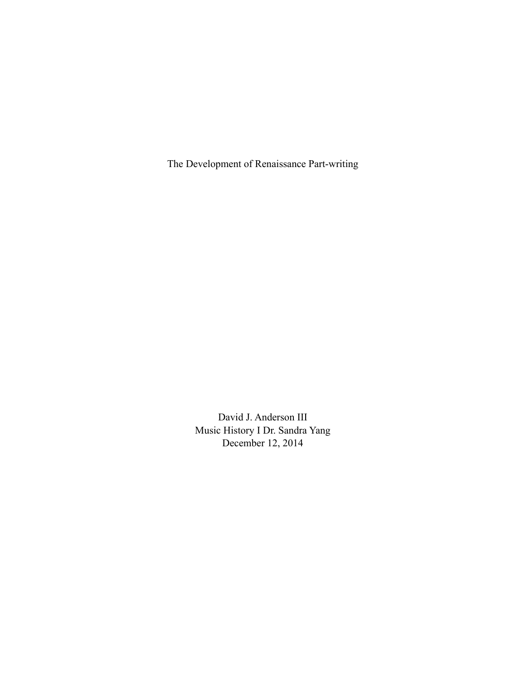The Development of Renaissance Part-writing

David J. Anderson III Music History I Dr. Sandra Yang December 12, 2014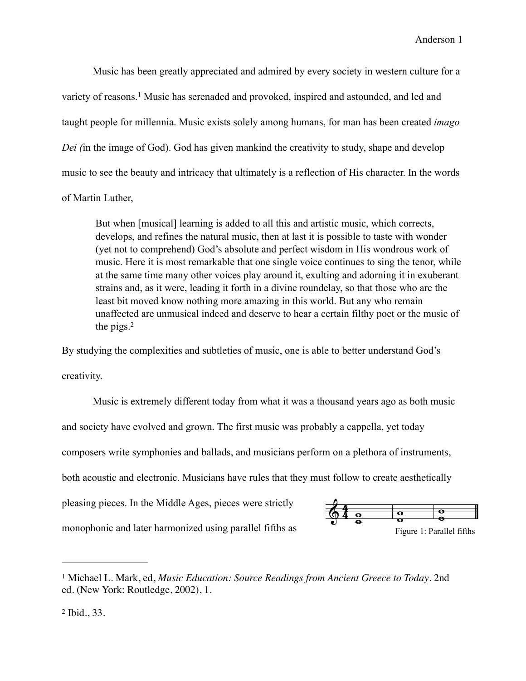Music has been greatly appreciated and admired by every society in western culture for a variety of reasons.<sup>1</sup> Music has serenaded and provoked, inspired and astounded, and led and taught people for millennia. Music exists solely among humans, for man has been created *imago Dei (*in the image of God). God has given mankind the creativity to study, shape and develop music to see the beauty and intricacy that ultimately is a reflection of His character. In the words of Martin Luther,

But when [musical] learning is added to all this and artistic music, which corrects, develops, and refines the natural music, then at last it is possible to taste with wonder (yet not to comprehend) God's absolute and perfect wisdom in His wondrous work of music. Here it is most remarkable that one single voice continues to sing the tenor, while at the same time many other voices play around it, exulting and adorning it in exuberant strains and, as it were, leading it forth in a divine roundelay, so that those who are the least bit moved know nothing more amazing in this world. But any who remain unaffected are unmusical indeed and deserve to hear a certain filthy poet or the music of the pigs. $<sup>2</sup>$ </sup>

By studying the complexities and subtleties of music, one is able to better understand God's creativity.

 Music is extremely different today from what it was a thousand years ago as both music and society have evolved and grown. The first music was probably a cappella, yet today composers write symphonies and ballads, and musicians perform on a plethora of instruments, both acoustic and electronic. Musicians have rules that they must follow to create aesthetically pleasing pieces. In the Middle Ages, pieces were strictly monophonic and later harmonized using parallel fifths as



Michael L. Mark, ed, *Music Education: Source Readings from Ancient Greece to Today*. 2nd 1 ed. (New York: Routledge, 2002), 1.

 $2$  Ibid., 33.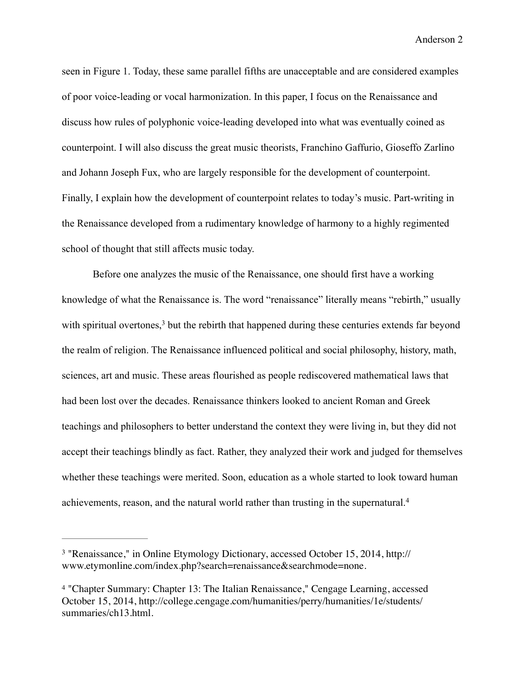seen in Figure 1. Today, these same parallel fifths are unacceptable and are considered examples of poor voice-leading or vocal harmonization. In this paper, I focus on the Renaissance and discuss how rules of polyphonic voice-leading developed into what was eventually coined as counterpoint. I will also discuss the great music theorists, Franchino Gaffurio, Gioseffo Zarlino and Johann Joseph Fux, who are largely responsible for the development of counterpoint. Finally, I explain how the development of counterpoint relates to today's music. Part-writing in the Renaissance developed from a rudimentary knowledge of harmony to a highly regimented school of thought that still affects music today.

 Before one analyzes the music of the Renaissance, one should first have a working knowledge of what the Renaissance is. The word "renaissance" literally means "rebirth," usually with spiritual overtones,<sup>3</sup> but the rebirth that happened during these centuries extends far beyond the realm of religion. The Renaissance influenced political and social philosophy, history, math, sciences, art and music. These areas flourished as people rediscovered mathematical laws that had been lost over the decades. Renaissance thinkers looked to ancient Roman and Greek teachings and philosophers to better understand the context they were living in, but they did not accept their teachings blindly as fact. Rather, they analyzed their work and judged for themselves whether these teachings were merited. Soon, education as a whole started to look toward human achievements, reason, and the natural world rather than trusting in the supernatural.4

<sup>&</sup>lt;sup>3</sup> ["Renaissance," in Online Etymology Dictionary, accessed October 15, 2014, http://](http://www.etymonline.com/index.php?search=renaissance&searchmode=none) www.etymonline.com/index.php?search=renaissance&searchmode=none.

<sup>&</sup>lt;sup>4</sup> "Chapter Summary: Chapter 13: The Italian Renaissance," Cengage Learning, accessed [October 15, 2014, http://college.cengage.com/humanities/perry/humanities/1e/students/](http://college.cengage.com/humanities/perry/humanities/1e/students/summaries/ch13.html) summaries/ch13.html.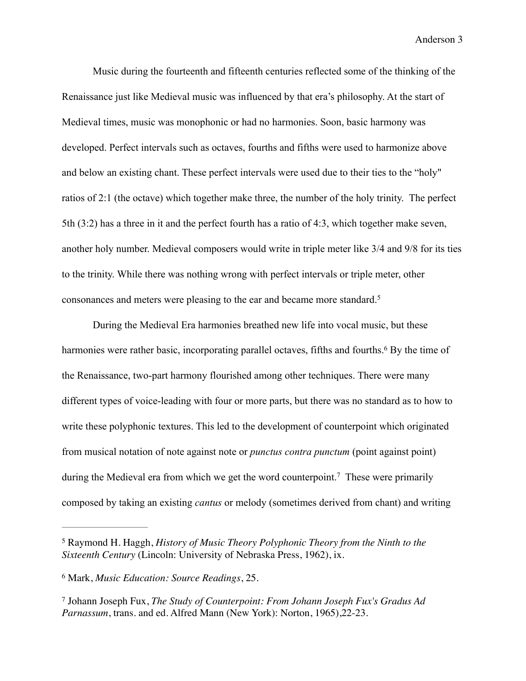Music during the fourteenth and fifteenth centuries reflected some of the thinking of the Renaissance just like Medieval music was influenced by that era's philosophy. At the start of Medieval times, music was monophonic or had no harmonies. Soon, basic harmony was developed. Perfect intervals such as octaves, fourths and fifths were used to harmonize above and below an existing chant. These perfect intervals were used due to their ties to the "holy" ratios of 2:1 (the octave) which together make three, the number of the holy trinity. The perfect 5th (3:2) has a three in it and the perfect fourth has a ratio of 4:3, which together make seven, another holy number. Medieval composers would write in triple meter like 3/4 and 9/8 for its ties to the trinity. While there was nothing wrong with perfect intervals or triple meter, other consonances and meters were pleasing to the ear and became more standard.5

During the Medieval Era harmonies breathed new life into vocal music, but these harmonies were rather basic, incorporating parallel octaves, fifths and fourths.<sup>6</sup> By the time of the Renaissance, two-part harmony flourished among other techniques. There were many different types of voice-leading with four or more parts, but there was no standard as to how to write these polyphonic textures. This led to the development of counterpoint which originated from musical notation of note against note or *punctus contra punctum* (point against point) during the Medieval era from which we get the word counterpoint.<sup>7</sup> These were primarily composed by taking an existing *cantus* or melody (sometimes derived from chant) and writing

Raymond H. Haggh, *History of Music Theory Polyphonic Theory from the Ninth to the* <sup>5</sup> *Sixteenth Century* (Lincoln: University of Nebraska Press, 1962), ix.

Mark, *Music Education: Source Readings*, 25. <sup>6</sup>

Johann Joseph Fux, *The Study of Counterpoint: From Johann Joseph Fux's Gradus Ad* <sup>7</sup> *Parnassum*, trans. and ed. Alfred Mann (New York): Norton, 1965),22-23.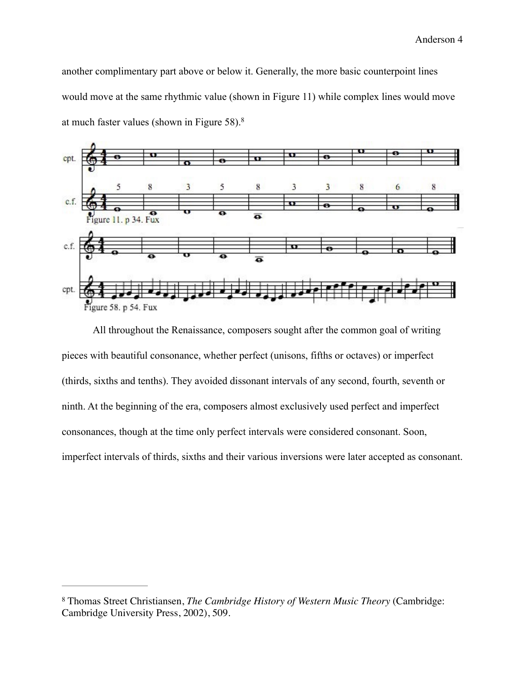another complimentary part above or below it. Generally, the more basic counterpoint lines would move at the same rhythmic value (shown in Figure 11) while complex lines would move at much faster values (shown in Figure 58).8



 All throughout the Renaissance, composers sought after the common goal of writing pieces with beautiful consonance, whether perfect (unisons, fifths or octaves) or imperfect (thirds, sixths and tenths). They avoided dissonant intervals of any second, fourth, seventh or ninth. At the beginning of the era, composers almost exclusively used perfect and imperfect consonances, though at the time only perfect intervals were considered consonant. Soon, imperfect intervals of thirds, sixths and their various inversions were later accepted as consonant.

Thomas Street Christiansen, *The Cambridge History of Western Music Theory* (Cambridge: 8 Cambridge University Press, 2002), 509.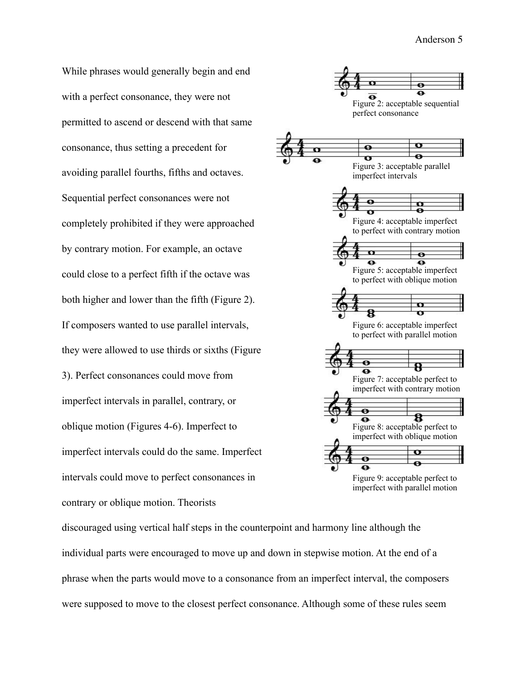While phrases would generally begin and end with a perfect consonance, they were not permitted to ascend or descend with that same consonance, thus setting a precedent for avoiding parallel fourths, fifths and octaves. Sequential perfect consonances were not completely prohibited if they were approached by contrary motion. For example, an octave could close to a perfect fifth if the octave was both higher and lower than the fifth (Figure 2). If composers wanted to use parallel intervals, they were allowed to use thirds or sixths (Figure 3). Perfect consonances could move from imperfect intervals in parallel, contrary, or oblique motion (Figures 4-6). Imperfect to imperfect intervals could do the same. Imperfect intervals could move to perfect consonances in contrary or oblique motion. Theorists



discouraged using vertical half steps in the counterpoint and harmony line although the individual parts were encouraged to move up and down in stepwise motion. At the end of a phrase when the parts would move to a consonance from an imperfect interval, the composers were supposed to move to the closest perfect consonance. Although some of these rules seem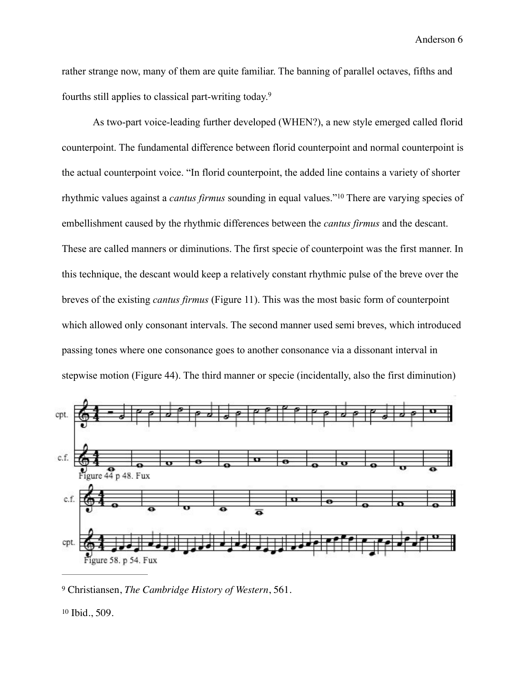rather strange now, many of them are quite familiar. The banning of parallel octaves, fifths and fourths still applies to classical part-writing today.9

 As two-part voice-leading further developed (WHEN?), a new style emerged called florid counterpoint. The fundamental difference between florid counterpoint and normal counterpoint is the actual counterpoint voice. "In florid counterpoint, the added line contains a variety of shorter rhythmic values against a *cantus firmus* sounding in equal values."<sup>10</sup> There are varying species of embellishment caused by the rhythmic differences between the *cantus firmus* and the descant. These are called manners or diminutions. The first specie of counterpoint was the first manner. In this technique, the descant would keep a relatively constant rhythmic pulse of the breve over the breves of the existing *cantus firmus* (Figure 11). This was the most basic form of counterpoint which allowed only consonant intervals. The second manner used semi breves, which introduced passing tones where one consonance goes to another consonance via a dissonant interval in stepwise motion (Figure 44). The third manner or specie (incidentally, also the first diminution)



<sup>9</sup> Christiansen, *The Cambridge History of Western*, 561.

 $10$  Ibid., 509.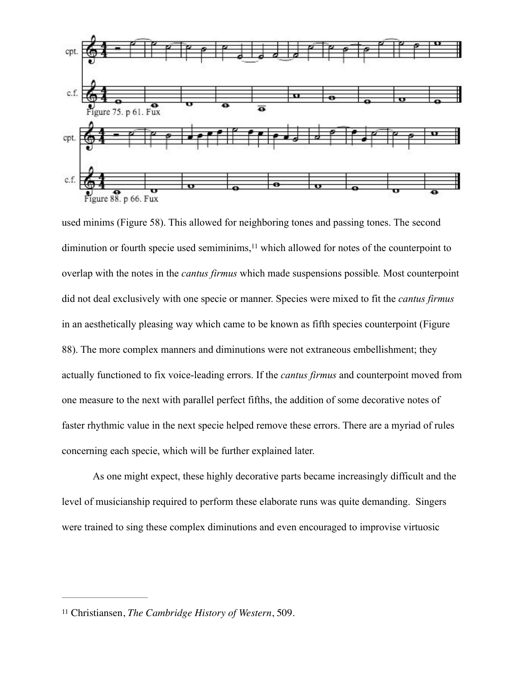

used minims (Figure 58). This allowed for neighboring tones and passing tones. The second diminution or fourth specie used semiminims, $<sup>11</sup>$  which allowed for notes of the counterpoint to</sup> overlap with the notes in the *cantus firmus* which made suspensions possible*.* Most counterpoint did not deal exclusively with one specie or manner. Species were mixed to fit the *cantus firmus* in an aesthetically pleasing way which came to be known as fifth species counterpoint (Figure 88). The more complex manners and diminutions were not extraneous embellishment; they actually functioned to fix voice-leading errors. If the *cantus firmus* and counterpoint moved from one measure to the next with parallel perfect fifths, the addition of some decorative notes of faster rhythmic value in the next specie helped remove these errors. There are a myriad of rules concerning each specie, which will be further explained later.

 As one might expect, these highly decorative parts became increasingly difficult and the level of musicianship required to perform these elaborate runs was quite demanding. Singers were trained to sing these complex diminutions and even encouraged to improvise virtuosic

<sup>&</sup>lt;sup>11</sup> Christiansen, *The Cambridge History of Western*, 509.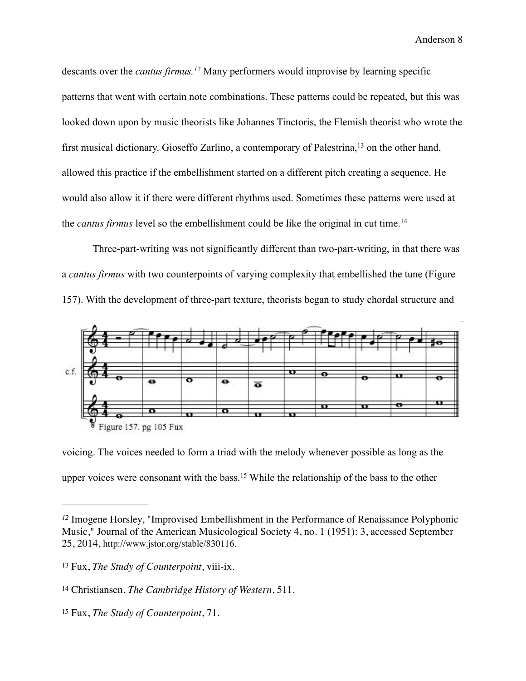descants over the *cantus firmus.*<sup>12</sup> Many performers would improvise by learning specific patterns that went with certain note combinations. These patterns could be repeated, but this was looked down upon by music theorists like Johannes Tinctoris, the Flemish theorist who wrote the first musical dictionary. Gioseffo Zarlino, a contemporary of Palestrina,  $^{13}$  on the other hand, allowed this practice if the embellishment started on a different pitch creating a sequence. He would also allow it if there were different rhythms used. Sometimes these patterns were used at the *cantus firmus* level so the embellishment could be like the original in cut time.14

Three-part-writing was not significantly different than two-part-writing, in that there was a *cantus firmus* with two counterpoints of varying complexity that embellished the tune (Figure 157). With the development of three-part texture, theorists began to study chordal structure and



voicing. The voices needed to form a triad with the melody whenever possible as long as the upper voices were consonant with the bass.<sup>15</sup> While the relationship of the bass to the other

<sup>&</sup>lt;sup>12</sup> Imogene Horsley, "Improvised Embellishment in the Performance of Renaissance Polyphonic Music," Journal of the American Musicological Society 4, no. 1 (1951): 3, accessed September 25, 2014, http://www.jstor.org/stable/830116.

Fux, *The Study of Counterpoint*, viii-ix. <sup>13</sup>

<sup>&</sup>lt;sup>14</sup> Christiansen, *The Cambridge History of Western*, 511.

<sup>&</sup>lt;sup>15</sup> Fux, *The Study of Counterpoint*, 71.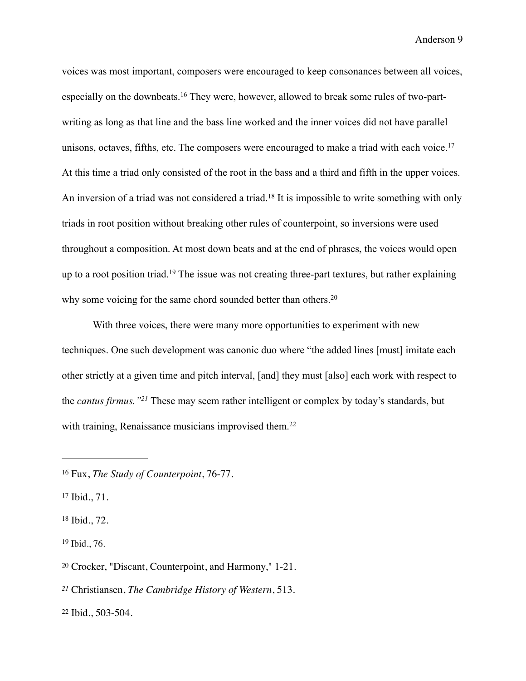voices was most important, composers were encouraged to keep consonances between all voices, especially on the downbeats.<sup>16</sup> They were, however, allowed to break some rules of two-partwriting as long as that line and the bass line worked and the inner voices did not have parallel unisons, octaves, fifths, etc. The composers were encouraged to make a triad with each voice.<sup>17</sup> At this time a triad only consisted of the root in the bass and a third and fifth in the upper voices. An inversion of a triad was not considered a triad.<sup>18</sup> It is impossible to write something with only triads in root position without breaking other rules of counterpoint, so inversions were used throughout a composition. At most down beats and at the end of phrases, the voices would open up to a root position triad.<sup>19</sup> The issue was not creating three-part textures, but rather explaining why some voicing for the same chord sounded better than others.<sup>20</sup>

With three voices, there were many more opportunities to experiment with new techniques. One such development was canonic duo where "the added lines [must] imitate each other strictly at a given time and pitch interval, [and] they must [also] each work with respect to the *cantus firmus.*"<sup>21</sup> These may seem rather intelligent or complex by today's standards, but with training, Renaissance musicians improvised them.<sup>22</sup>

 $17$  Ibid.,  $71$ .

 $18$  Ibid., 72.

 $19$  Ibid., 76.

 $20$  Crocker, "Discant, Counterpoint, and Harmony," 1-21.

Christiansen, *The Cambridge History of Western*, 513. *<sup>21</sup>*

 $22$  Ibid., 503-504.

<sup>&</sup>lt;sup>16</sup> Fux, *The Study of Counterpoint*, 76-77.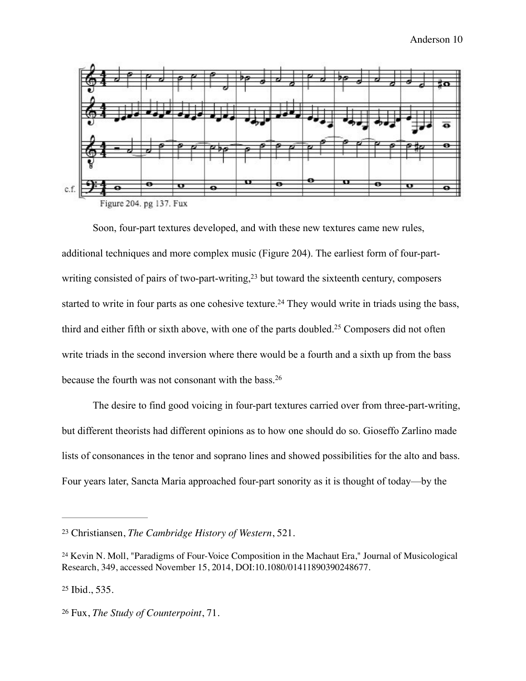

 Soon, four-part textures developed, and with these new textures came new rules, additional techniques and more complex music (Figure 204). The earliest form of four-partwriting consisted of pairs of two-part-writing, $23$  but toward the sixteenth century, composers started to write in four parts as one cohesive texture.<sup>24</sup> They would write in triads using the bass, third and either fifth or sixth above, with one of the parts doubled.<sup>25</sup> Composers did not often write triads in the second inversion where there would be a fourth and a sixth up from the bass because the fourth was not consonant with the bass.26

 The desire to find good voicing in four-part textures carried over from three-part-writing, but different theorists had different opinions as to how one should do so. Gioseffo Zarlino made lists of consonances in the tenor and soprano lines and showed possibilities for the alto and bass. Four years later, Sancta Maria approached four-part sonority as it is thought of today—by the

Christiansen, *The Cambridge History of Western*, 521. <sup>23</sup>

<sup>&</sup>lt;sup>24</sup> Kevin N. Moll, "Paradigms of Four-Voice Composition in the Machaut Era," Journal of Musicological Research, 349, accessed November 15, 2014, DOI:10.1080/01411890390248677.

 $25$  Ibid., 535.

<sup>&</sup>lt;sup>26</sup> Fux, *The Study of Counterpoint*, 71.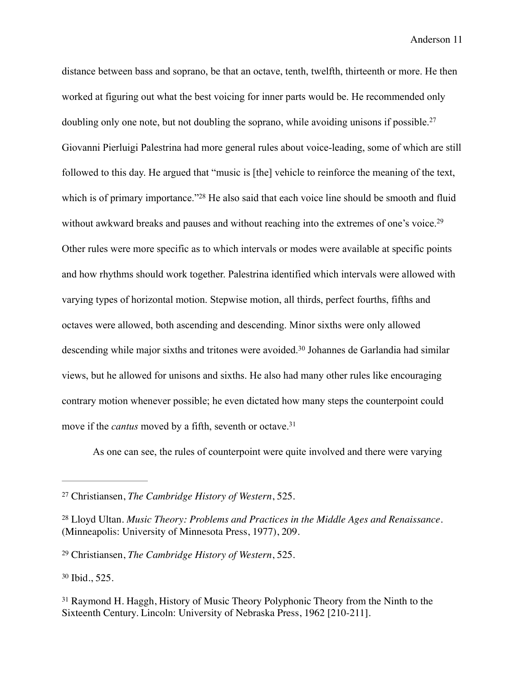distance between bass and soprano, be that an octave, tenth, twelfth, thirteenth or more. He then worked at figuring out what the best voicing for inner parts would be. He recommended only doubling only one note, but not doubling the soprano, while avoiding unisons if possible.<sup>27</sup> Giovanni Pierluigi Palestrina had more general rules about voice-leading, some of which are still followed to this day. He argued that "music is [the] vehicle to reinforce the meaning of the text, which is of primary importance." $28$  He also said that each voice line should be smooth and fluid without awkward breaks and pauses and without reaching into the extremes of one's voice.<sup>29</sup> Other rules were more specific as to which intervals or modes were available at specific points and how rhythms should work together. Palestrina identified which intervals were allowed with varying types of horizontal motion. Stepwise motion, all thirds, perfect fourths, fifths and octaves were allowed, both ascending and descending. Minor sixths were only allowed descending while major sixths and tritones were avoided.<sup>30</sup> Johannes de Garlandia had similar views, but he allowed for unisons and sixths. He also had many other rules like encouraging contrary motion whenever possible; he even dictated how many steps the counterpoint could move if the *cantus* moved by a fifth, seventh or octave.<sup>31</sup>

As one can see, the rules of counterpoint were quite involved and there were varying

<sup>30</sup> Ibid., 525.

Christiansen, *The Cambridge History of Western*, 525. <sup>27</sup>

Lloyd Ultan. *Music Theory: Problems and Practices in the Middle Ages and Renaissance.* <sup>28</sup> (Minneapolis: University of Minnesota Press, 1977), 209.

<sup>&</sup>lt;sup>29</sup> Christiansen, *The Cambridge History of Western*, 525.

<sup>&</sup>lt;sup>31</sup> Raymond H. Haggh, History of Music Theory Polyphonic Theory from the Ninth to the Sixteenth Century. Lincoln: University of Nebraska Press, 1962 [210-211].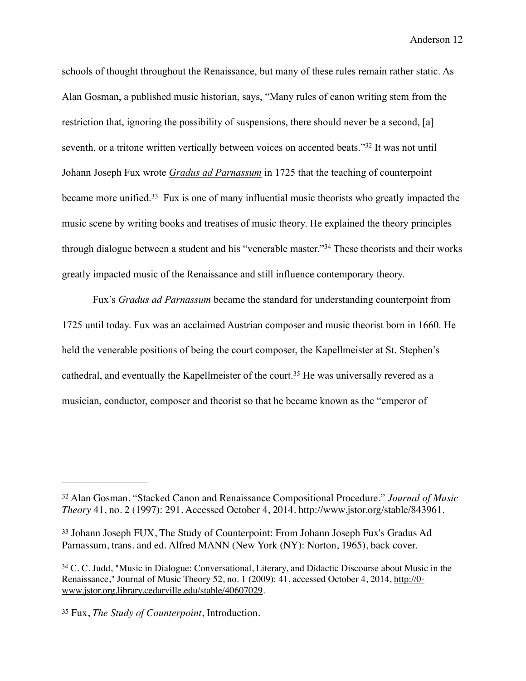schools of thought throughout the Renaissance, but many of these rules remain rather static. As Alan Gosman, a published music historian, says, "Many rules of canon writing stem from the restriction that, ignoring the possibility of suspensions, there should never be a second, [a] seventh, or a tritone written vertically between voices on accented beats."<sup>32</sup> It was not until Johann Joseph Fux wrote *Gradus ad Parnassum* in 1725 that the teaching of counterpoint became more unified.<sup>33</sup> Fux is one of many influential music theorists who greatly impacted the music scene by writing books and treatises of music theory. He explained the theory principles through dialogue between a student and his "venerable master."<sup>34</sup> These theorists and their works greatly impacted music of the Renaissance and still influence contemporary theory.

Fux's *Gradus ad Parnassum* became the standard for understanding counterpoint from 1725 until today. Fux was an acclaimed Austrian composer and music theorist born in 1660. He held the venerable positions of being the court composer, the Kapellmeister at St. Stephen's cathedral, and eventually the Kapellmeister of the court.<sup>35</sup> He was universally revered as a musician, conductor, composer and theorist so that he became known as the "emperor of

Alan Gosman. "Stacked Canon and Renaissance Compositional Procedure." *Journal of Music* <sup>32</sup> *Theory* 41, no. 2 (1997): 291. Accessed October 4, 2014. [http://www.jstor.org/stable/843961.](http://www.jstor.org/stable/843961)

<sup>&</sup>lt;sup>33</sup> Johann Joseph FUX, The Study of Counterpoint: From Johann Joseph Fux's Gradus Ad Parnassum, trans. and ed. Alfred MANN (New York (NY): Norton, 1965), back cover.

<sup>&</sup>lt;sup>34</sup> C. C. Judd, "Music in Dialogue: Conversational, Literary, and Didactic Discourse about Music in the [Renaissance," Journal of Music Theory 52, no. 1 \(2009\): 41, accessed October 4, 2014, http://0](http://0-www.jstor.org.library.cedarville.edu/stable/40607029) www.jstor.org.library.cedarville.edu/stable/40607029.

Fux, *The Study of Counterpoint*, Introduction. <sup>35</sup>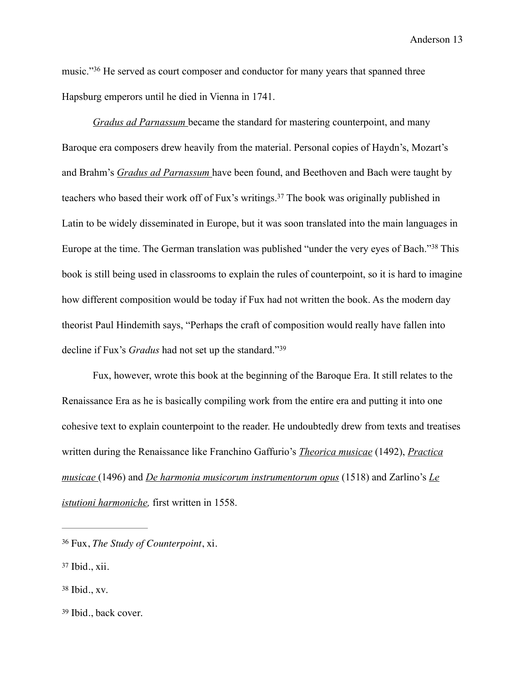music."<sup>36</sup> He served as court composer and conductor for many years that spanned three Hapsburg emperors until he died in Vienna in 1741.

*Gradus ad Parnassum* became the standard for mastering counterpoint, and many Baroque era composers drew heavily from the material. Personal copies of Haydn's, Mozart's and Brahm's *Gradus ad Parnassum* have been found, and Beethoven and Bach were taught by teachers who based their work off of Fux's writings.<sup>37</sup> The book was originally published in Latin to be widely disseminated in Europe, but it was soon translated into the main languages in Europe at the time. The German translation was published "under the very eyes of Bach."<sup>38</sup> This book is still being used in classrooms to explain the rules of counterpoint, so it is hard to imagine how different composition would be today if Fux had not written the book. As the modern day theorist Paul Hindemith says, "Perhaps the craft of composition would really have fallen into decline if Fux's *Gradus* had not set up the standard."39

 Fux, however, wrote this book at the beginning of the Baroque Era. It still relates to the Renaissance Era as he is basically compiling work from the entire era and putting it into one cohesive text to explain counterpoint to the reader. He undoubtedly drew from texts and treatises written during the Renaissance like Franchino Gaffurio's *Theorica musicae* (1492), *Practica musicae* (1496) and *De harmonia musicorum instrumentorum opus* (1518) and Zarlino's *Le istutioni harmoniche,* first written in 1558.

- $38$  Ibid., xv.
- <sup>39</sup> Ibid., back cover.

Fux, *The Study of Counterpoint*, xi. <sup>36</sup>

 $37$  Ibid., xii.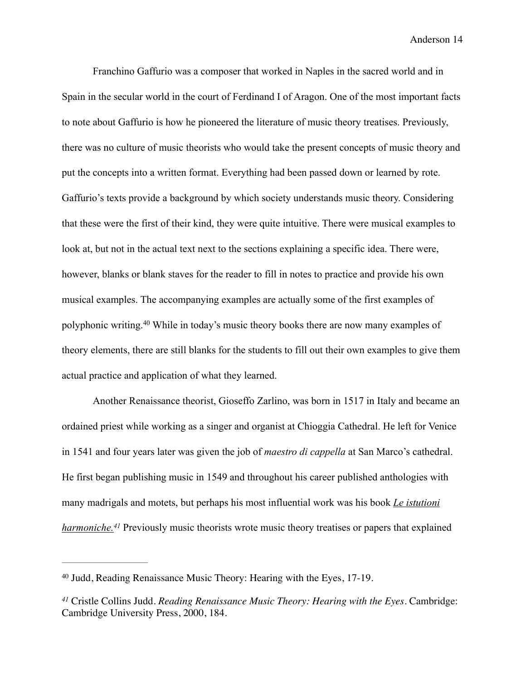Franchino Gaffurio was a composer that worked in Naples in the sacred world and in Spain in the secular world in the court of Ferdinand I of Aragon. One of the most important facts to note about Gaffurio is how he pioneered the literature of music theory treatises. Previously, there was no culture of music theorists who would take the present concepts of music theory and put the concepts into a written format. Everything had been passed down or learned by rote. Gaffurio's texts provide a background by which society understands music theory. Considering that these were the first of their kind, they were quite intuitive. There were musical examples to look at, but not in the actual text next to the sections explaining a specific idea. There were, however, blanks or blank staves for the reader to fill in notes to practice and provide his own musical examples. The accompanying examples are actually some of the first examples of polyphonic writing.<sup>40</sup> While in today's music theory books there are now many examples of theory elements, there are still blanks for the students to fill out their own examples to give them actual practice and application of what they learned.

 Another Renaissance theorist, Gioseffo Zarlino, was born in 1517 in Italy and became an ordained priest while working as a singer and organist at Chioggia Cathedral. He left for Venice in 1541 and four years later was given the job of *maestro di cappella* at San Marco's cathedral. He first began publishing music in 1549 and throughout his career published anthologies with many madrigals and motets, but perhaps his most influential work was his book *Le istutioni harmoniche.*<sup>41</sup> Previously music theorists wrote music theory treatises or papers that explained

<sup>&</sup>lt;sup>40</sup> Judd, Reading Renaissance Music Theory: Hearing with the Eyes, 17-19.

Cristle Collins Judd. *Reading Renaissance Music Theory: Hearing with the Eyes.* Cambridge: *<sup>41</sup>* Cambridge University Press, 2000, 184.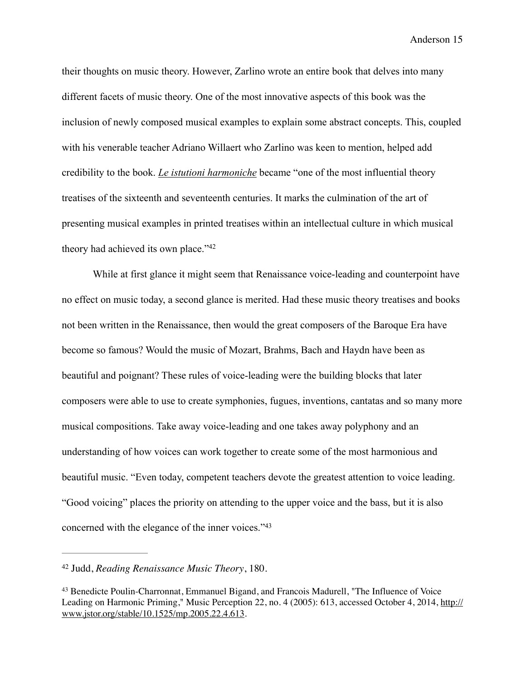their thoughts on music theory. However, Zarlino wrote an entire book that delves into many different facets of music theory. One of the most innovative aspects of this book was the inclusion of newly composed musical examples to explain some abstract concepts. This, coupled with his venerable teacher Adriano Willaert who Zarlino was keen to mention, helped add credibility to the book. *Le istutioni harmoniche* became "one of the most influential theory treatises of the sixteenth and seventeenth centuries. It marks the culmination of the art of presenting musical examples in printed treatises within an intellectual culture in which musical theory had achieved its own place."42

 While at first glance it might seem that Renaissance voice-leading and counterpoint have no effect on music today, a second glance is merited. Had these music theory treatises and books not been written in the Renaissance, then would the great composers of the Baroque Era have become so famous? Would the music of Mozart, Brahms, Bach and Haydn have been as beautiful and poignant? These rules of voice-leading were the building blocks that later composers were able to use to create symphonies, fugues, inventions, cantatas and so many more musical compositions. Take away voice-leading and one takes away polyphony and an understanding of how voices can work together to create some of the most harmonious and beautiful music. "Even today, competent teachers devote the greatest attention to voice leading. "Good voicing" places the priority on attending to the upper voice and the bass, but it is also concerned with the elegance of the inner voices."43

<sup>&</sup>lt;sup>42</sup> Judd, *Reading Renaissance Music Theory*, 180.

<sup>43</sup> Benedicte Poulin-Charronnat, Emmanuel Bigand, and Francois Madurell, "The Influence of Voice [Leading on Harmonic Priming," Music Perception 22, no. 4 \(2005\): 613, accessed October 4, 2014, http://](http://www.jstor.org/stable/10.1525/mp.2005.22.4.613) www.jstor.org/stable/10.1525/mp.2005.22.4.613.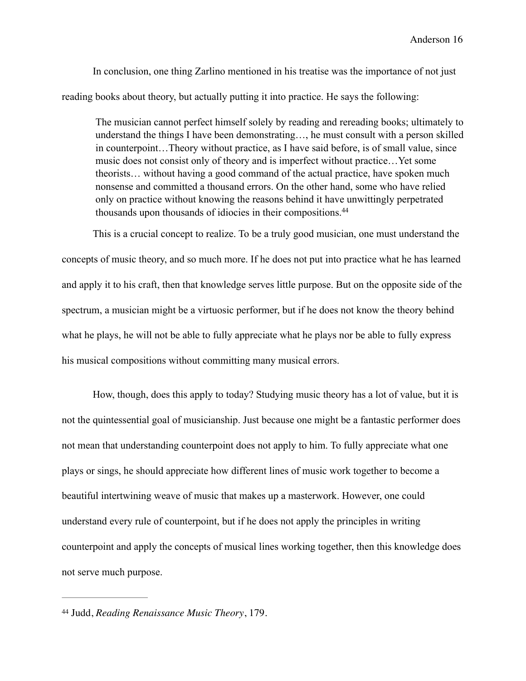In conclusion, one thing Zarlino mentioned in his treatise was the importance of not just reading books about theory, but actually putting it into practice. He says the following:

The musician cannot perfect himself solely by reading and rereading books; ultimately to understand the things I have been demonstrating…, he must consult with a person skilled in counterpoint…Theory without practice, as I have said before, is of small value, since music does not consist only of theory and is imperfect without practice…Yet some theorists… without having a good command of the actual practice, have spoken much nonsense and committed a thousand errors. On the other hand, some who have relied only on practice without knowing the reasons behind it have unwittingly perpetrated thousands upon thousands of idiocies in their compositions.44

 This is a crucial concept to realize. To be a truly good musician, one must understand the concepts of music theory, and so much more. If he does not put into practice what he has learned and apply it to his craft, then that knowledge serves little purpose. But on the opposite side of the spectrum, a musician might be a virtuosic performer, but if he does not know the theory behind what he plays, he will not be able to fully appreciate what he plays nor be able to fully express his musical compositions without committing many musical errors.

 How, though, does this apply to today? Studying music theory has a lot of value, but it is not the quintessential goal of musicianship. Just because one might be a fantastic performer does not mean that understanding counterpoint does not apply to him. To fully appreciate what one plays or sings, he should appreciate how different lines of music work together to become a beautiful intertwining weave of music that makes up a masterwork. However, one could understand every rule of counterpoint, but if he does not apply the principles in writing counterpoint and apply the concepts of musical lines working together, then this knowledge does not serve much purpose.

<sup>&</sup>lt;sup>44</sup> Judd, *Reading Renaissance Music Theory*, 179.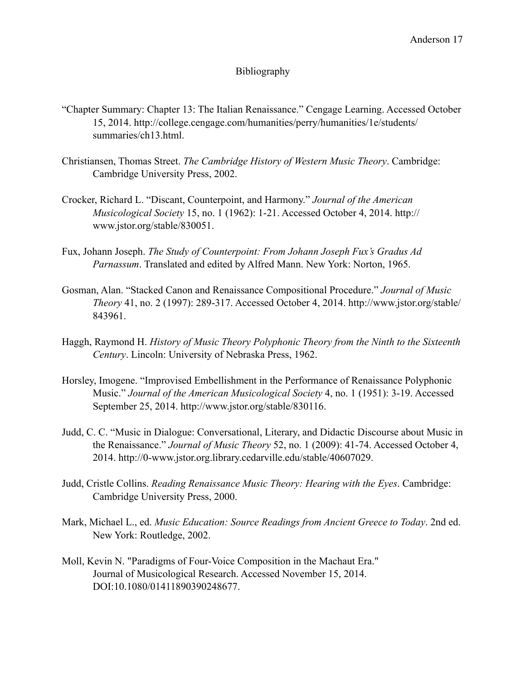## Bibliography

- "Chapter Summary: Chapter 13: The Italian Renaissance." Cengage Learning. Accessed October 15, 2014. http://college.cengage.com/humanities/perry/humanities/1e/students/ summaries/ch13.html.
- Christiansen, Thomas Street. *The Cambridge History of Western Music Theory*. Cambridge: Cambridge University Press, 2002.
- Crocker, Richard L. "Discant, Counterpoint, and Harmony." *Journal of the American Musicological Society* 15, no. 1 (1962): 1-21. Accessed October 4, 2014. http:// www.jstor.org/stable/830051.
- Fux, Johann Joseph. *The Study of Counterpoint: From Johann Joseph Fux's Gradus Ad Parnassum*. Translated and edited by Alfred Mann. New York: Norton, 1965.
- Gosman, Alan. "Stacked Canon and Renaissance Compositional Procedure." *Journal of Music Theory* 41, no. 2 (1997): 289-317. Accessed October 4, 2014. http://www.jstor.org/stable/ 843961.
- Haggh, Raymond H. *History of Music Theory Polyphonic Theory from the Ninth to the Sixteenth Century*. Lincoln: University of Nebraska Press, 1962.
- Horsley, Imogene. "Improvised Embellishment in the Performance of Renaissance Polyphonic Music." *Journal of the American Musicological Society* 4, no. 1 (1951): 3-19. Accessed September 25, 2014. http://www.jstor.org/stable/830116.
- Judd, C. C. "Music in Dialogue: Conversational, Literary, and Didactic Discourse about Music in the Renaissance." *Journal of Music Theory* 52, no. 1 (2009): 41-74. Accessed October 4, 2014. http://0-www.jstor.org.library.cedarville.edu/stable/40607029.
- Judd, Cristle Collins. *Reading Renaissance Music Theory: Hearing with the Eyes*. Cambridge: Cambridge University Press, 2000.
- Mark, Michael L., ed. *Music Education: Source Readings from Ancient Greece to Today*. 2nd ed. New York: Routledge, 2002.
- Moll, Kevin N. "Paradigms of Four-Voice Composition in the Machaut Era." Journal of Musicological Research. Accessed November 15, 2014. DOI:10.1080/01411890390248677.